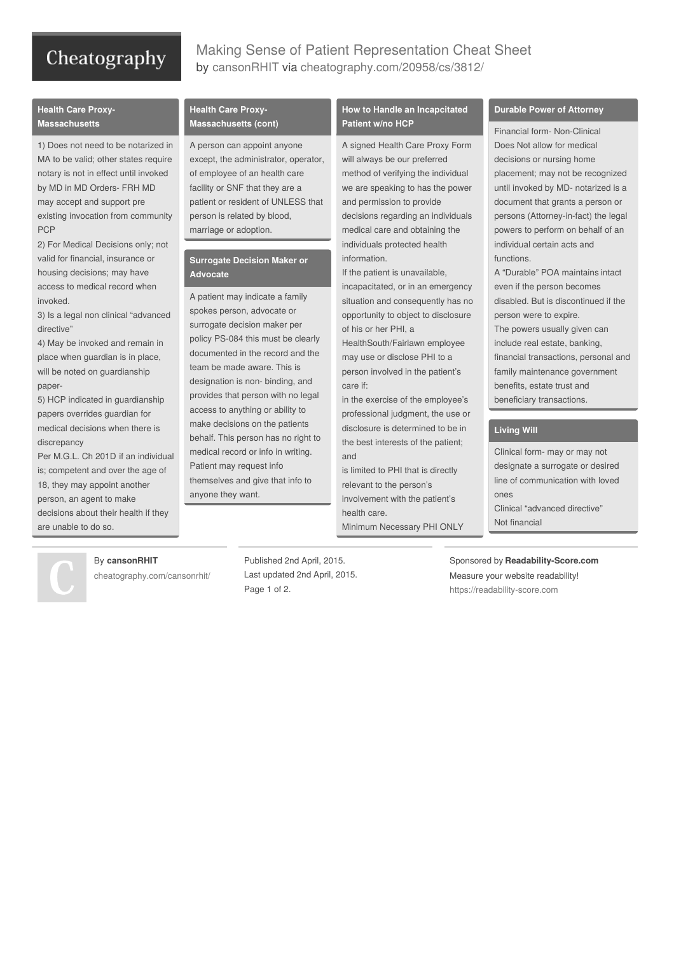# Cheatography

# Making Sense of Patient Representation Cheat Sheet by [cansonRHIT](http://www.cheatography.com/cansonrhit/) via [cheatography.com/20958/cs/3812/](http://www.cheatography.com/cansonrhit/cheat-sheets/making-sense-of-patient-representation)

# **Health Care Proxy-Massachusetts**

1) Does not need to be notarized in MA to be valid; other states require notary is not in effect until invoked by MD in MD Orders- FRH MD may accept and support pre existing invocation from community PCP

2) For Medical Decisions only; not valid for financial, insurance or housing decisions; may have access to medical record when invoked.

3) Is a legal non clinical "advanced directive"

4) May be invoked and remain in place when guardian is in place, will be noted on guardianship paper-

5) HCP indicated in guardianship papers overrides guardian for medical decisions when there is discrepancy

Per M.G.L. Ch 201D if an individual is; competent and over the age of 18, they may appoint another person, an agent to make decisions about their health if they are unable to do so.

### **Health Care Proxy-Massachusetts (cont)**

A person can appoint anyone except, the administrator, operator, of employee of an health care facility or SNF that they are a patient or resident of UNLESS that person is related by blood, marriage or adoption.

# **Surrogate Decision Maker or Advocate**

A patient may indicate a family spokes person, advocate or surrogate decision maker per policy PS-084 this must be clearly documented in the record and the team be made aware. This is designation is non- binding, and provides that person with no legal access to anything or ability to make decisions on the patients behalf. This person has no right to medical record or info in writing. Patient may request info themselves and give that info to anyone they want.

# **How to Handle an Incapcitated Patient w/no HCP**

A signed Health Care Proxy Form will always be our preferred method of verifying the individual we are speaking to has the power and permission to provide decisions regarding an individuals medical care and obtaining the individuals protected health information.

If the patient is unavailable,

incapacitated, or in an emergency situation and consequently has no opportunity to object to disclosure of his or her PHI, a

HealthSouth/Fairlawn employee may use or disclose PHI to a person involved in the patient's care if:

in the exercise of the employee's professional judgment, the use or disclosure is determined to be in the best interests of the patient; and

is limited to PHI that is directly relevant to the person's involvement with the patient's health care. Minimum Necessary PHI ONLY

#### **Durable Power of Attorney**

Financial form- Non-Clinical Does Not allow for medical decisions or nursing home placement; may not be recognized until invoked by MD- notarized is a document that grants a person or persons (Attorney-in-fact) the legal powers to perform on behalf of an individual certain acts and functions.

A "Durable" POA maintains intact even if the person becomes disabled. But is discontinued if the person were to expire. The powers usually given can include real estate, banking, financial transactions, personal and family maintenance government benefits, estate trust and beneficiary transactions.

# **Living Will**

Clinical form- may or may not designate a surrogate or desired line of communication with loved ones Clinical "advanced directive" Not financial

### By **cansonRHIT**

[cheatography.com/cansonrhit/](http://www.cheatography.com/cansonrhit/)

Published 2nd April, 2015. Last updated 2nd April, 2015. Page 1 of 2.

Sponsored by **Readability-Score.com** Measure your website readability! <https://readability-score.com>